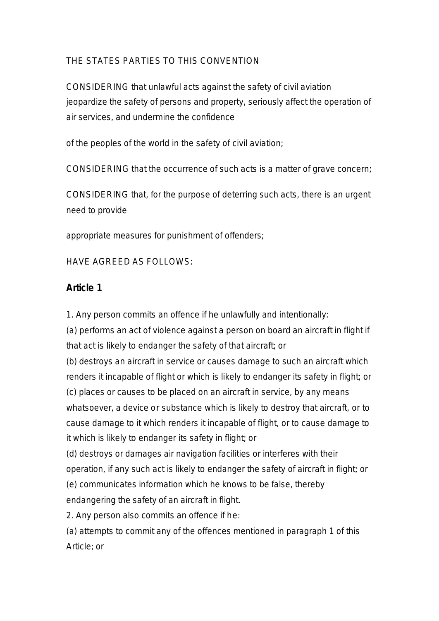#### THE STATES PARTIES TO THIS CONVENTION

CONSIDERING that unlawful acts against the safety of civil aviation jeopardize the safety of persons and property, seriously affect the operation of air services, and undermine the confidence

of the peoples of the world in the safety of civil aviation;

CONSIDERING that the occurrence of such acts is a matter of grave concern;

CONSIDERING that, for the purpose of deterring such acts, there is an urgent need to provide

appropriate measures for punishment of offenders;

HAVE AGREED AS FOLLOWS:

### **Article 1**

1. Any person commits an offence if he unlawfully and intentionally:

(a) performs an act of violence against a person on board an aircraft in flight if that act is likely to endanger the safety of that aircraft; or

(b) destroys an aircraft in service or causes damage to such an aircraft which renders it incapable of flight or which is likely to endanger its safety in flight; or (c) places or causes to be placed on an aircraft in service, by any means whatsoever, a device or substance which is likely to destroy that aircraft, or to cause damage to it which renders it incapable of flight, or to cause damage to it which is likely to endanger its safety in flight; or

(d) destroys or damages air navigation facilities or interferes with their operation, if any such act is likely to endanger the safety of aircraft in flight; or (e) communicates information which he knows to be false, thereby endangering the safety of an aircraft in flight.

2. Any person also commits an offence if he:

(a) attempts to commit any of the offences mentioned in paragraph 1 of this Article; or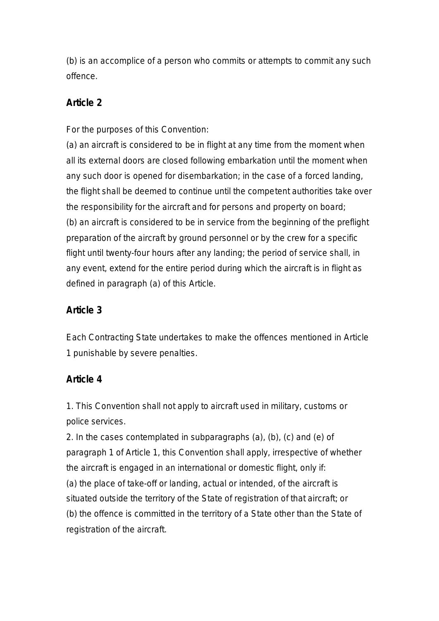(b) is an accomplice of a person who commits or attempts to commit any such offence.

### **Article 2**

For the purposes of this Convention:

(a) an aircraft is considered to be in flight at any time from the moment when all its external doors are closed following embarkation until the moment when any such door is opened for disembarkation; in the case of a forced landing, the flight shall be deemed to continue until the competent authorities take over the responsibility for the aircraft and for persons and property on board; (b) an aircraft is considered to be in service from the beginning of the preflight preparation of the aircraft by ground personnel or by the crew for a specific flight until twenty-four hours after any landing; the period of service shall, in any event, extend for the entire period during which the aircraft is in flight as defined in paragraph (a) of this Article.

# **Article 3**

Each Contracting State undertakes to make the offences mentioned in Article 1 punishable by severe penalties.

# **Article 4**

1. This Convention shall not apply to aircraft used in military, customs or police services.

2. In the cases contemplated in subparagraphs (a), (b), (c) and (e) of paragraph 1 of Article 1, this Convention shall apply, irrespective of whether the aircraft is engaged in an international or domestic flight, only if: (a) the place of take-off or landing, actual or intended, of the aircraft is situated outside the territory of the State of registration of that aircraft; or (b) the offence is committed in the territory of a State other than the State of registration of the aircraft.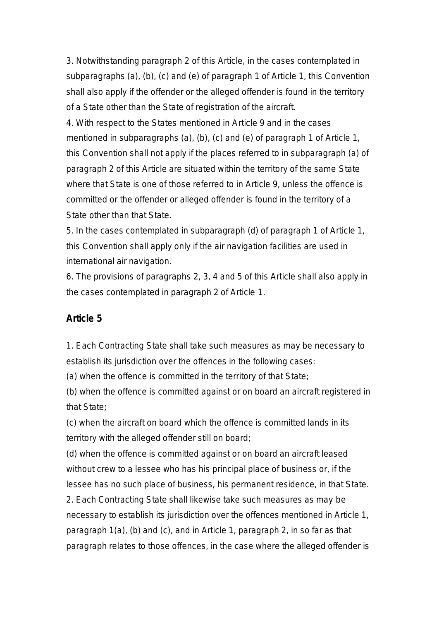3. Notwithstanding paragraph 2 of this Article, in the cases contemplated in subparagraphs (a), (b), (c) and (e) of paragraph 1 of Article 1, this Convention shall also apply if the offender or the alleged offender is found in the territory of a State other than the State of registration of the aircraft.

4. With respect to the States mentioned in Article 9 and in the cases mentioned in subparagraphs (a), (b), (c) and (e) of paragraph 1 of Article 1, this Convention shall not apply if the places referred to in subparagraph (a) of paragraph 2 of this Article are situated within the territory of the same State where that State is one of those referred to in Article 9, unless the offence is committed or the offender or alleged offender is found in the territory of a State other than that State.

5. In the cases contemplated in subparagraph (d) of paragraph 1 of Article 1, this Convention shall apply only if the air navigation facilities are used in international air navigation.

6. The provisions of paragraphs 2, 3, 4 and 5 of this Article shall also apply in the cases contemplated in paragraph 2 of Article 1.

#### **Article 5**

1. Each Contracting State shall take such measures as may be necessary to establish its jurisdiction over the offences in the following cases:

(a) when the offence is committed in the territory of that State;

(b) when the offence is committed against or on board an aircraft registered in that State;

(c) when the aircraft on board which the offence is committed lands in its territory with the alleged offender still on board;

(d) when the offence is committed against or on board an aircraft leased without crew to a lessee who has his principal place of business or, if the lessee has no such place of business, his permanent residence, in that State.

2. Each Contracting State shall likewise take such measures as may be necessary to establish its jurisdiction over the offences mentioned in Article 1, paragraph 1(a), (b) and (c), and in Article 1, paragraph 2, in so far as that paragraph relates to those offences, in the case where the alleged offender is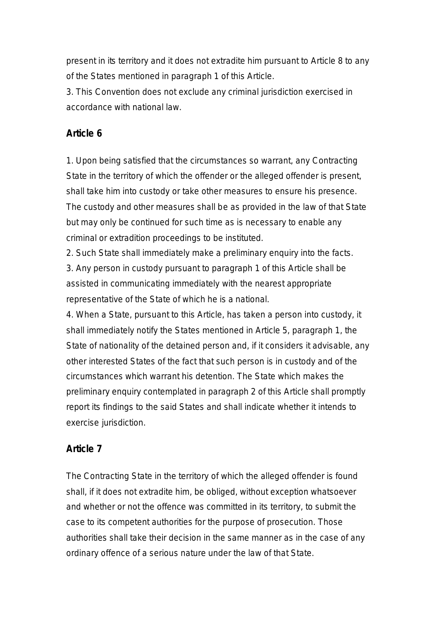present in its territory and it does not extradite him pursuant to Article 8 to any of the States mentioned in paragraph 1 of this Article.

3. This Convention does not exclude any criminal jurisdiction exercised in accordance with national law.

## **Article 6**

1. Upon being satisfied that the circumstances so warrant, any Contracting State in the territory of which the offender or the alleged offender is present, shall take him into custody or take other measures to ensure his presence. The custody and other measures shall be as provided in the law of that State but may only be continued for such time as is necessary to enable any criminal or extradition proceedings to be instituted.

2. Such State shall immediately make a preliminary enquiry into the facts. 3. Any person in custody pursuant to paragraph 1 of this Article shall be assisted in communicating immediately with the nearest appropriate representative of the State of which he is a national.

4. When a State, pursuant to this Article, has taken a person into custody, it shall immediately notify the States mentioned in Article 5, paragraph 1, the State of nationality of the detained person and, if it considers it advisable, any other interested States of the fact that such person is in custody and of the circumstances which warrant his detention. The State which makes the preliminary enquiry contemplated in paragraph 2 of this Article shall promptly report its findings to the said States and shall indicate whether it intends to exercise jurisdiction.

# **Article 7**

The Contracting State in the territory of which the alleged offender is found shall, if it does not extradite him, be obliged, without exception whatsoever and whether or not the offence was committed in its territory, to submit the case to its competent authorities for the purpose of prosecution. Those authorities shall take their decision in the same manner as in the case of any ordinary offence of a serious nature under the law of that State.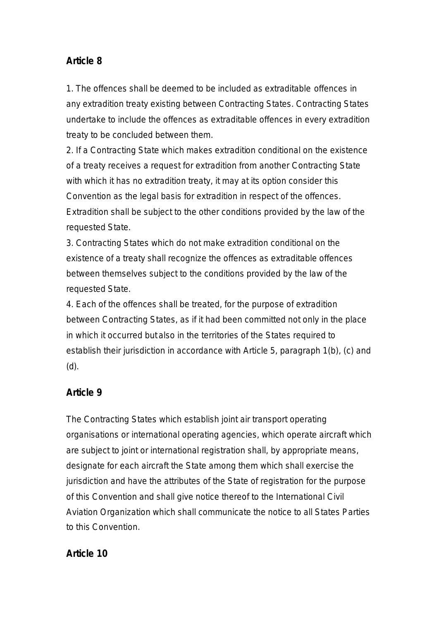## **Article 8**

1. The offences shall be deemed to be included as extraditable offences in any extradition treaty existing between Contracting States. Contracting States undertake to include the offences as extraditable offences in every extradition treaty to be concluded between them.

2. If a Contracting State which makes extradition conditional on the existence of a treaty receives a request for extradition from another Contracting State with which it has no extradition treaty, it may at its option consider this Convention as the legal basis for extradition in respect of the offences. Extradition shall be subject to the other conditions provided by the law of the requested State.

3. Contracting States which do not make extradition conditional on the existence of a treaty shall recognize the offences as extraditable offences between themselves subject to the conditions provided by the law of the requested State.

4. Each of the offences shall be treated, for the purpose of extradition between Contracting States, as if it had been committed not only in the place in which it occurred but also in the territories of the States required to establish their jurisdiction in accordance with Article 5, paragraph 1(b), (c) and (d).

### **Article 9**

The Contracting States which establish joint air transport operating organisations or international operating agencies, which operate aircraft which are subject to joint or international registration shall, by appropriate means, designate for each aircraft the State among them which shall exercise the jurisdiction and have the attributes of the State of registration for the purpose of this Convention and shall give notice thereof to the International Civil Aviation Organization which shall communicate the notice to all States Parties to this Convention.

### **Article 10**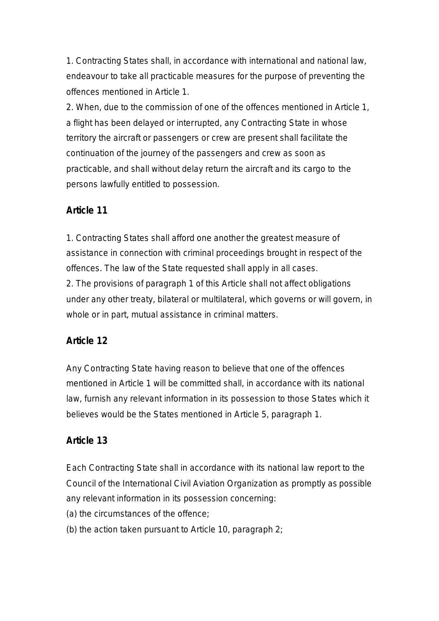1. Contracting States shall, in accordance with international and national law, endeavour to take all practicable measures for the purpose of preventing the offences mentioned in Article 1.

2. When, due to the commission of one of the offences mentioned in Article 1, a flight has been delayed or interrupted, any Contracting State in whose territory the aircraft or passengers or crew are present shall facilitate the continuation of the journey of the passengers and crew as soon as practicable, and shall without delay return the aircraft and its cargo to the persons lawfully entitled to possession.

### **Article 11**

1. Contracting States shall afford one another the greatest measure of assistance in connection with criminal proceedings brought in respect of the offences. The law of the State requested shall apply in all cases. 2. The provisions of paragraph 1 of this Article shall not affect obligations under any other treaty, bilateral or multilateral, which governs or will govern, in whole or in part, mutual assistance in criminal matters.

# **Article 12**

Any Contracting State having reason to believe that one of the offences mentioned in Article 1 will be committed shall, in accordance with its national law, furnish any relevant information in its possession to those States which it believes would be the States mentioned in Article 5, paragraph 1.

# **Article 13**

Each Contracting State shall in accordance with its national law report to the Council of the International Civil Aviation Organization as promptly as possible any relevant information in its possession concerning:

- (a) the circumstances of the offence;
- (b) the action taken pursuant to Article 10, paragraph 2;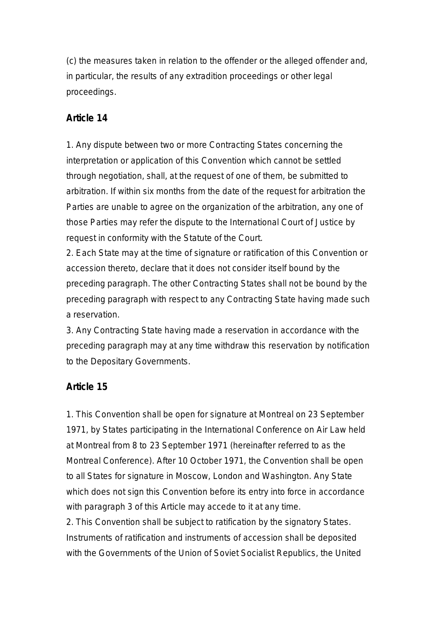(c) the measures taken in relation to the offender or the alleged offender and, in particular, the results of any extradition proceedings or other legal proceedings.

### **Article 14**

1. Any dispute between two or more Contracting States concerning the interpretation or application of this Convention which cannot be settled through negotiation, shall, at the request of one of them, be submitted to arbitration. If within six months from the date of the request for arbitration the Parties are unable to agree on the organization of the arbitration, any one of those Parties may refer the dispute to the International Court of Justice by request in conformity with the Statute of the Court.

2. Each State may at the time of signature or ratification of this Convention or accession thereto, declare that it does not consider itself bound by the preceding paragraph. The other Contracting States shall not be bound by the preceding paragraph with respect to any Contracting State having made such a reservation.

3. Any Contracting State having made a reservation in accordance with the preceding paragraph may at any time withdraw this reservation by notification to the Depositary Governments.

# **Article 15**

1. This Convention shall be open for signature at Montreal on 23 September 1971, by States participating in the International Conference on Air Law held at Montreal from 8 to 23 September 1971 (hereinafter referred to as the Montreal Conference). After 10 October 1971, the Convention shall be open to all States for signature in Moscow, London and Washington. Any State which does not sign this Convention before its entry into force in accordance with paragraph 3 of this Article may accede to it at any time.

2. This Convention shall be subject to ratification by the signatory States. Instruments of ratification and instruments of accession shall be deposited with the Governments of the Union of Soviet Socialist Republics, the United